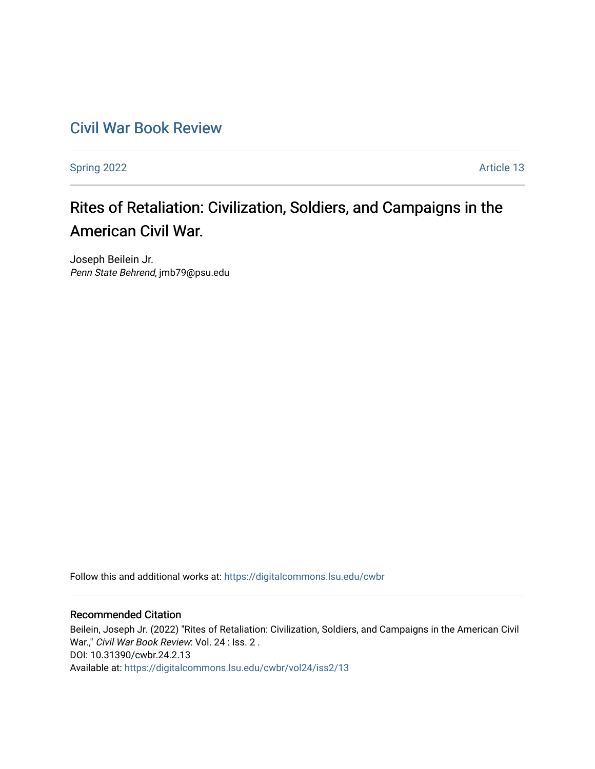## [Civil War Book Review](https://digitalcommons.lsu.edu/cwbr)

[Spring 2022](https://digitalcommons.lsu.edu/cwbr/vol24/iss2) **Article 13** 

# Rites of Retaliation: Civilization, Soldiers, and Campaigns in the American Civil War.

Joseph Beilein Jr. Penn State Behrend, jmb79@psu.edu

Follow this and additional works at: [https://digitalcommons.lsu.edu/cwbr](https://digitalcommons.lsu.edu/cwbr?utm_source=digitalcommons.lsu.edu%2Fcwbr%2Fvol24%2Fiss2%2F13&utm_medium=PDF&utm_campaign=PDFCoverPages) 

#### Recommended Citation

Beilein, Joseph Jr. (2022) "Rites of Retaliation: Civilization, Soldiers, and Campaigns in the American Civil War.," Civil War Book Review: Vol. 24 : Iss. 2. DOI: 10.31390/cwbr.24.2.13 Available at: [https://digitalcommons.lsu.edu/cwbr/vol24/iss2/13](https://digitalcommons.lsu.edu/cwbr/vol24/iss2/13?utm_source=digitalcommons.lsu.edu%2Fcwbr%2Fvol24%2Fiss2%2F13&utm_medium=PDF&utm_campaign=PDFCoverPages)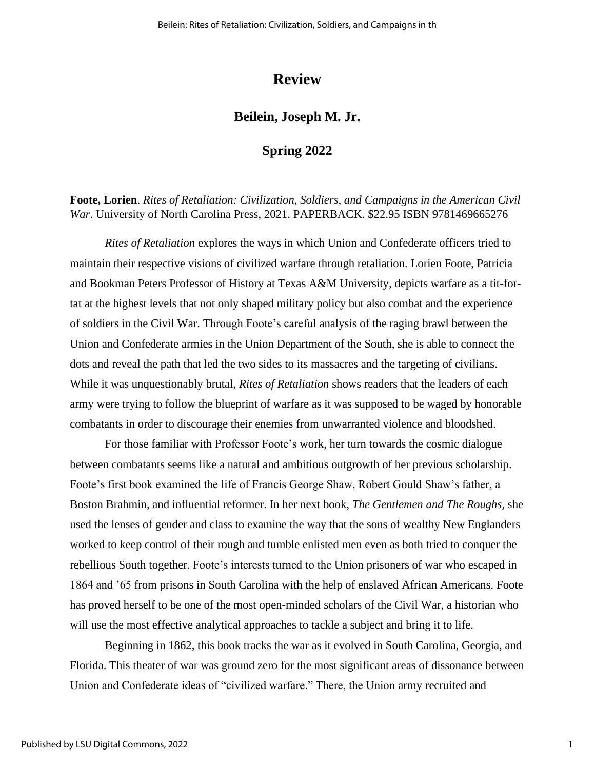## **Review**

### **Beilein, Joseph M. Jr.**

## **Spring 2022**

**Foote, Lorien**. *Rites of Retaliation: Civilization, Soldiers, and Campaigns in the American Civil War*. University of North Carolina Press, 2021. PAPERBACK. \$22.95 ISBN 9781469665276

*Rites of Retaliation* explores the ways in which Union and Confederate officers tried to maintain their respective visions of civilized warfare through retaliation. Lorien Foote, Patricia and Bookman Peters Professor of History at Texas A&M University, depicts warfare as a tit-fortat at the highest levels that not only shaped military policy but also combat and the experience of soldiers in the Civil War. Through Foote's careful analysis of the raging brawl between the Union and Confederate armies in the Union Department of the South, she is able to connect the dots and reveal the path that led the two sides to its massacres and the targeting of civilians. While it was unquestionably brutal, *Rites of Retaliation* shows readers that the leaders of each army were trying to follow the blueprint of warfare as it was supposed to be waged by honorable combatants in order to discourage their enemies from unwarranted violence and bloodshed.

For those familiar with Professor Foote's work, her turn towards the cosmic dialogue between combatants seems like a natural and ambitious outgrowth of her previous scholarship. Foote's first book examined the life of Francis George Shaw, Robert Gould Shaw's father, a Boston Brahmin, and influential reformer. In her next book, *The Gentlemen and The Roughs*, she used the lenses of gender and class to examine the way that the sons of wealthy New Englanders worked to keep control of their rough and tumble enlisted men even as both tried to conquer the rebellious South together. Foote's interests turned to the Union prisoners of war who escaped in 1864 and '65 from prisons in South Carolina with the help of enslaved African Americans. Foote has proved herself to be one of the most open-minded scholars of the Civil War, a historian who will use the most effective analytical approaches to tackle a subject and bring it to life.

Beginning in 1862, this book tracks the war as it evolved in South Carolina, Georgia, and Florida. This theater of war was ground zero for the most significant areas of dissonance between Union and Confederate ideas of "civilized warfare." There, the Union army recruited and